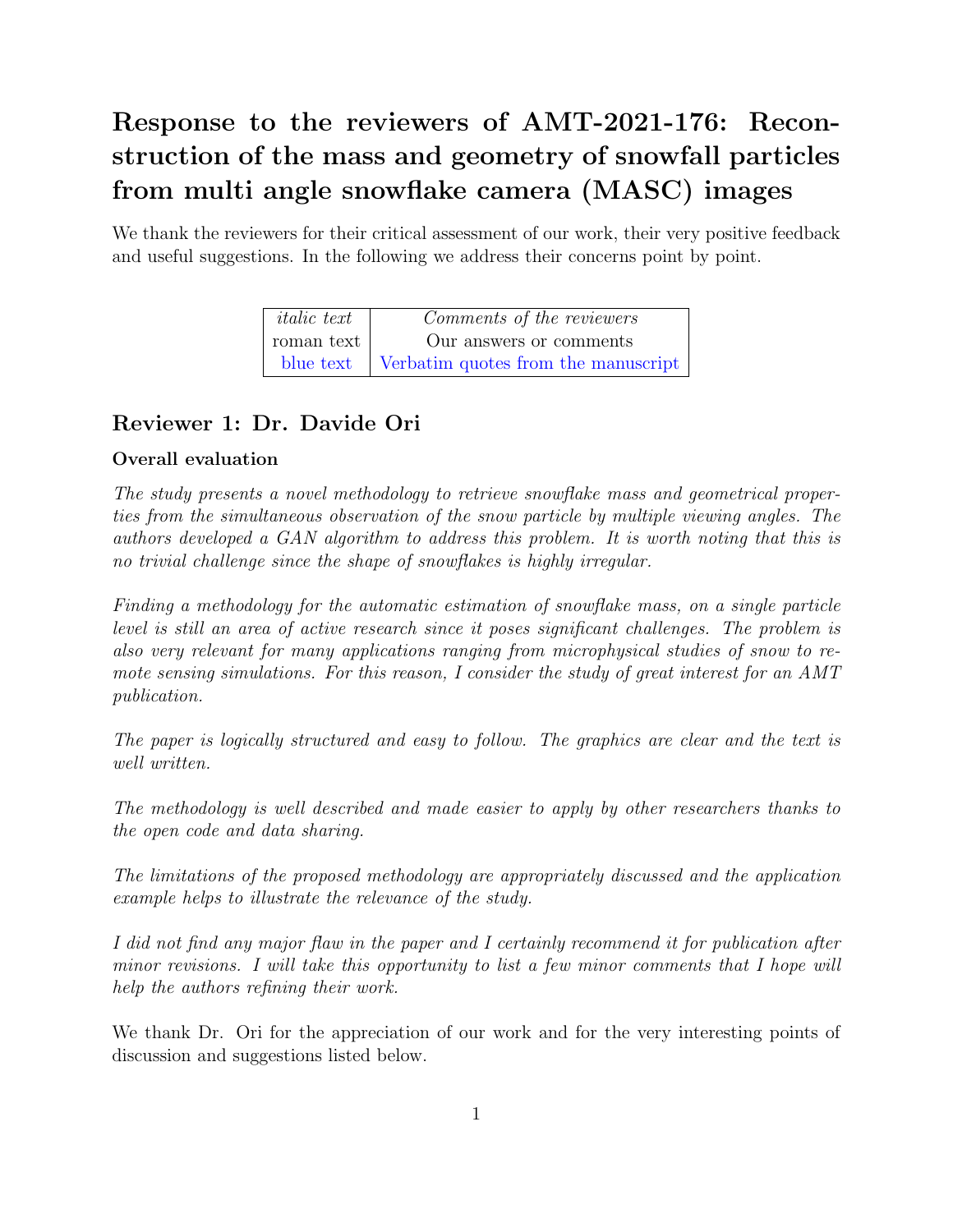# Response to the reviewers of AMT-2021-176: Reconstruction of the mass and geometry of snowfall particles from multi angle snowflake camera (MASC) images

We thank the reviewers for their critical assessment of our work, their very positive feedback and useful suggestions. In the following we address their concerns point by point.

| <i>italic</i> text | Comments of the reviewers                       |
|--------------------|-------------------------------------------------|
| roman text         | Our answers or comments                         |
|                    | blue text   Verbatim quotes from the manuscript |

# Reviewer 1: Dr. Davide Ori

# Overall evaluation

The study presents a novel methodology to retrieve snowflake mass and geometrical properties from the simultaneous observation of the snow particle by multiple viewing angles. The authors developed a GAN algorithm to address this problem. It is worth noting that this is no trivial challenge since the shape of snowflakes is highly irregular.

Finding a methodology for the automatic estimation of snowflake mass, on a single particle level is still an area of active research since it poses significant challenges. The problem is also very relevant for many applications ranging from microphysical studies of snow to remote sensing simulations. For this reason, I consider the study of great interest for an AMT publication.

The paper is logically structured and easy to follow. The graphics are clear and the text is well written.

The methodology is well described and made easier to apply by other researchers thanks to the open code and data sharing.

The limitations of the proposed methodology are appropriately discussed and the application example helps to illustrate the relevance of the study.

I did not find any major flaw in the paper and I certainly recommend it for publication after minor revisions. I will take this opportunity to list a few minor comments that I hope will help the authors refining their work.

We thank Dr. Ori for the appreciation of our work and for the very interesting points of discussion and suggestions listed below.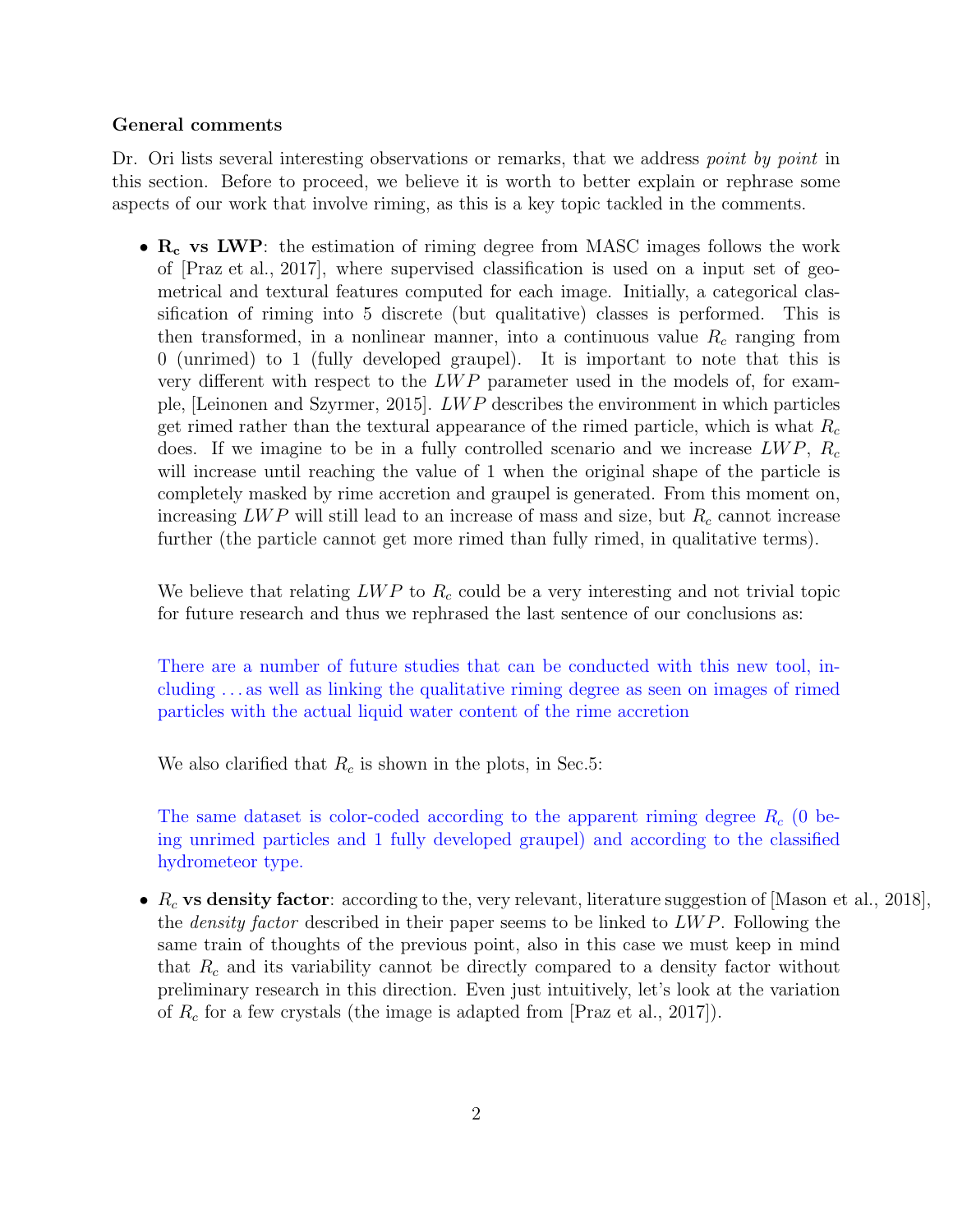#### General comments

Dr. Ori lists several interesting observations or remarks, that we address *point by point* in this section. Before to proceed, we believe it is worth to better explain or rephrase some aspects of our work that involve riming, as this is a key topic tackled in the comments.

•  $R_c$  vs LWP: the estimation of riming degree from MASC images follows the work of [Praz et al., 2017], where supervised classification is used on a input set of geometrical and textural features computed for each image. Initially, a categorical classification of riming into 5 discrete (but qualitative) classes is performed. This is then transformed, in a nonlinear manner, into a continuous value  $R_c$  ranging from 0 (unrimed) to 1 (fully developed graupel). It is important to note that this is very different with respect to the  $LWP$  parameter used in the models of, for example, [Leinonen and Szyrmer, 2015]. LW P describes the environment in which particles get rimed rather than the textural appearance of the rimed particle, which is what  $R_c$ does. If we imagine to be in a fully controlled scenario and we increase  $LWP$ ,  $R_c$ will increase until reaching the value of 1 when the original shape of the particle is completely masked by rime accretion and graupel is generated. From this moment on, increasing  $LWP$  will still lead to an increase of mass and size, but  $R_c$  cannot increase further (the particle cannot get more rimed than fully rimed, in qualitative terms).

We believe that relating  $LWP$  to  $R_c$  could be a very interesting and not trivial topic for future research and thus we rephrased the last sentence of our conclusions as:

There are a number of future studies that can be conducted with this new tool, including . . . as well as linking the qualitative riming degree as seen on images of rimed particles with the actual liquid water content of the rime accretion

We also clarified that  $R_c$  is shown in the plots, in Sec.5:

The same dataset is color-coded according to the apparent riming degree  $R_c$  (0 being unrimed particles and 1 fully developed graupel) and according to the classified hydrometeor type.

•  $R_c$  vs density factor: according to the, very relevant, literature suggestion of [Mason et al., 2018], the density factor described in their paper seems to be linked to LW P. Following the same train of thoughts of the previous point, also in this case we must keep in mind that  $R_c$  and its variability cannot be directly compared to a density factor without preliminary research in this direction. Even just intuitively, let's look at the variation of  $R_c$  for a few crystals (the image is adapted from [Praz et al., 2017]).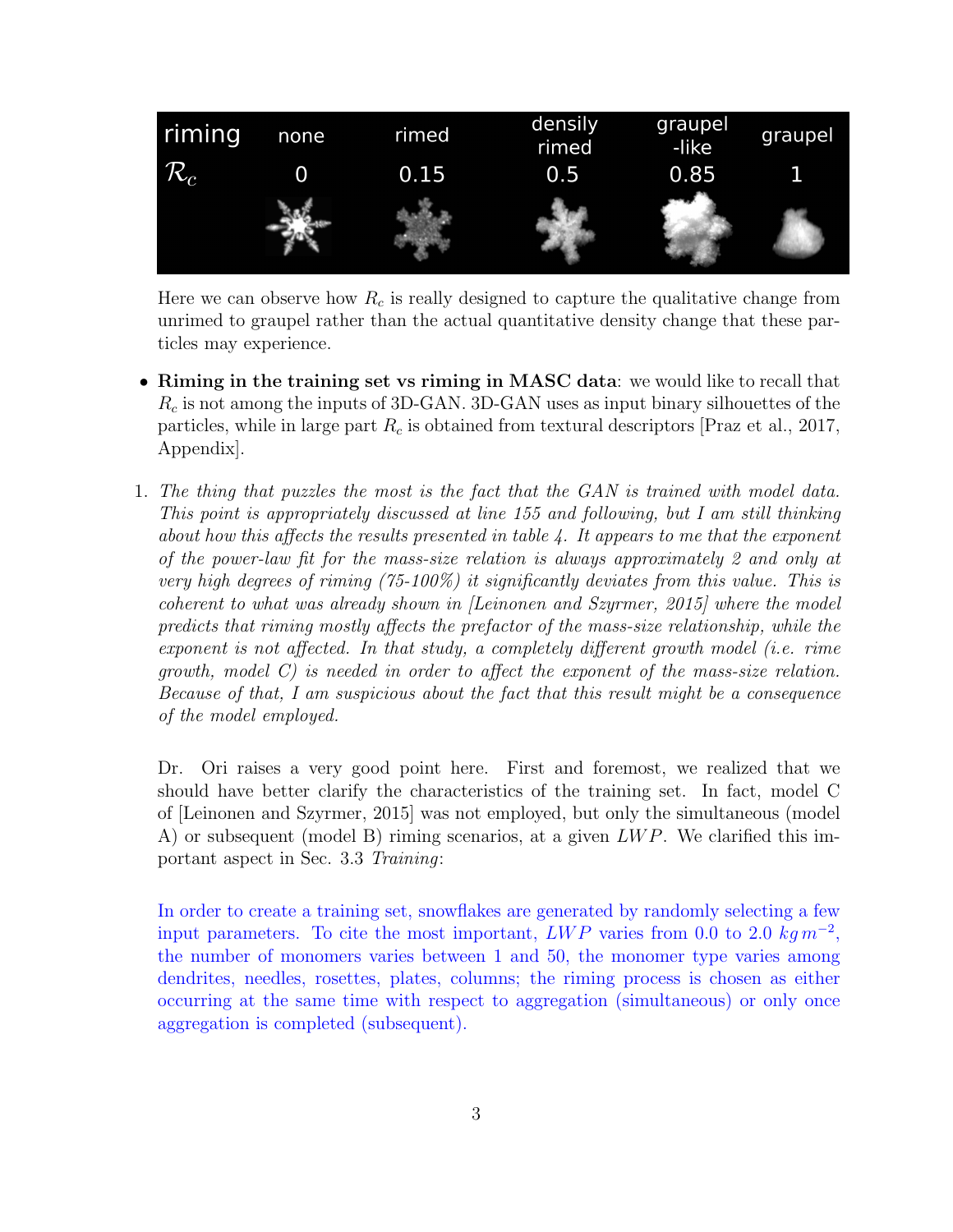| riming          | none | rimed | densily<br>rimed | graupel<br>-like | graupel |
|-----------------|------|-------|------------------|------------------|---------|
| $\mathcal{R}_c$ | 0    | 0.15  | 0.5              | 0.85             |         |
|                 |      |       |                  |                  |         |

Here we can observe how  $R_c$  is really designed to capture the qualitative change from unrimed to graupel rather than the actual quantitative density change that these particles may experience.

- Riming in the training set vs riming in MASC data: we would like to recall that  $R_c$  is not among the inputs of 3D-GAN. 3D-GAN uses as input binary silhouettes of the particles, while in large part  $R_c$  is obtained from textural descriptors [Praz et al., 2017, Appendix].
- 1. The thing that puzzles the most is the fact that the GAN is trained with model data. This point is appropriately discussed at line 155 and following, but I am still thinking about how this affects the results presented in table 4. It appears to me that the exponent of the power-law fit for the mass-size relation is always approximately 2 and only at very high degrees of riming (75-100%) it significantly deviates from this value. This is coherent to what was already shown in [Leinonen and Szyrmer, 2015] where the model predicts that riming mostly affects the prefactor of the mass-size relationship, while the exponent is not affected. In that study, a completely different growth model (i.e. rime growth, model  $C$ ) is needed in order to affect the exponent of the mass-size relation. Because of that, I am suspicious about the fact that this result might be a consequence of the model employed.

Dr. Ori raises a very good point here. First and foremost, we realized that we should have better clarify the characteristics of the training set. In fact, model C of [Leinonen and Szyrmer, 2015] was not employed, but only the simultaneous (model A) or subsequent (model B) riming scenarios, at a given  $LWP$ . We clarified this important aspect in Sec. 3.3 Training:

In order to create a training set, snowflakes are generated by randomly selecting a few input parameters. To cite the most important,  $LWP$  varies from 0.0 to 2.0  $kg m^{-2}$ , the number of monomers varies between 1 and 50, the monomer type varies among dendrites, needles, rosettes, plates, columns; the riming process is chosen as either occurring at the same time with respect to aggregation (simultaneous) or only once aggregation is completed (subsequent).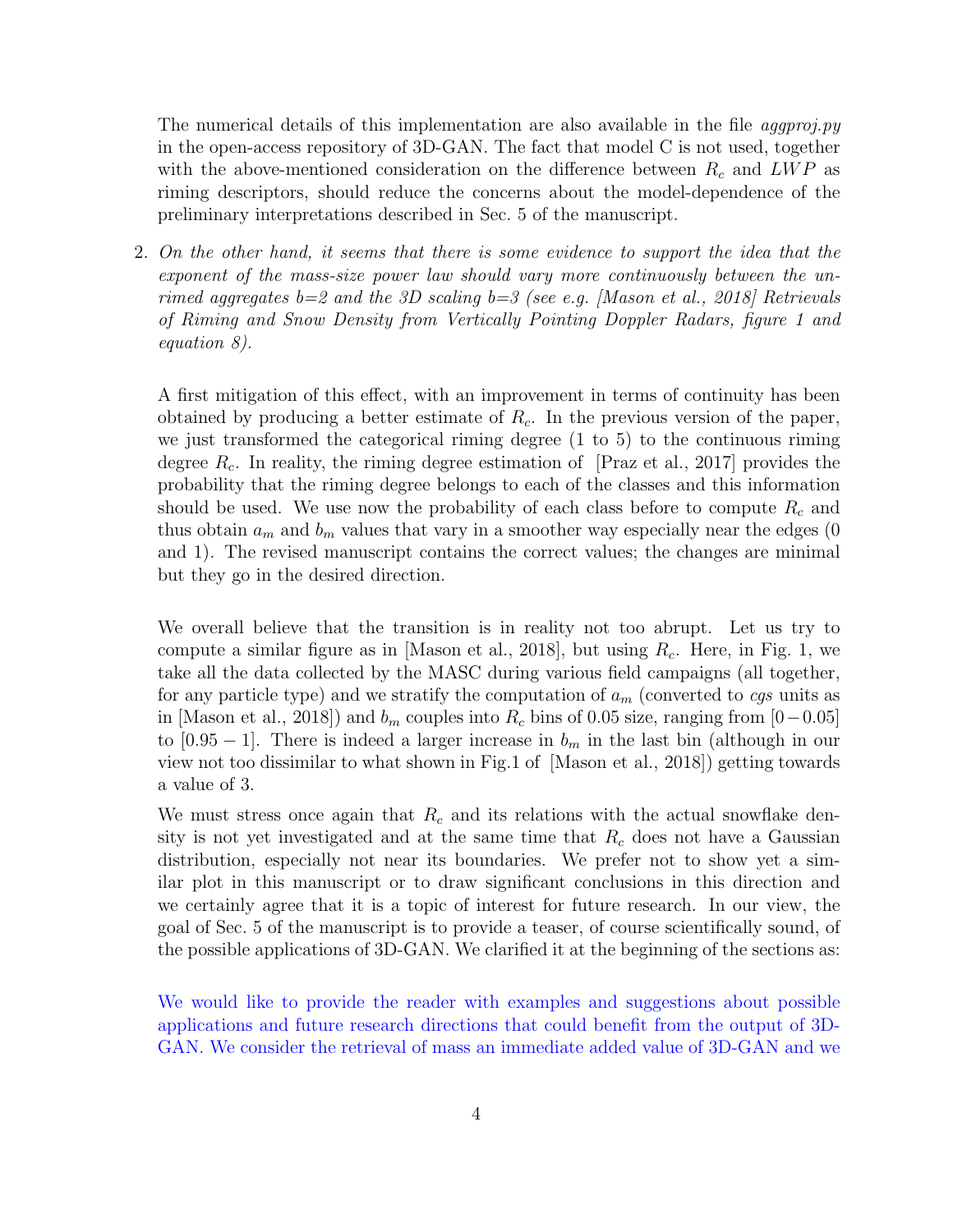The numerical details of this implementation are also available in the file *aggproj.py* in the open-access repository of 3D-GAN. The fact that model C is not used, together with the above-mentioned consideration on the difference between  $R_c$  and  $LWP$  as riming descriptors, should reduce the concerns about the model-dependence of the preliminary interpretations described in Sec. 5 of the manuscript.

2. On the other hand, it seems that there is some evidence to support the idea that the exponent of the mass-size power law should vary more continuously between the unrimed aggregates  $b=2$  and the 3D scaling  $b=3$  (see e.g. [Mason et al., 2018] Retrievals of Riming and Snow Density from Vertically Pointing Doppler Radars, figure 1 and equation 8).

A first mitigation of this effect, with an improvement in terms of continuity has been obtained by producing a better estimate of  $R_c$ . In the previous version of the paper, we just transformed the categorical riming degree (1 to 5) to the continuous riming degree  $R_c$ . In reality, the riming degree estimation of [Praz et al., 2017] provides the probability that the riming degree belongs to each of the classes and this information should be used. We use now the probability of each class before to compute  $R_c$  and thus obtain  $a_m$  and  $b_m$  values that vary in a smoother way especially near the edges (0) and 1). The revised manuscript contains the correct values; the changes are minimal but they go in the desired direction.

We overall believe that the transition is in reality not too abrupt. Let us try to compute a similar figure as in [Mason et al., 2018], but using  $R_c$ . Here, in Fig. 1, we take all the data collected by the MASC during various field campaigns (all together, for any particle type) and we stratify the computation of  $a_m$  (converted to cgs units as in [Mason et al., 2018]) and  $b_m$  couples into  $R_c$  bins of 0.05 size, ranging from [0−0.05] to [0.95 – 1]. There is indeed a larger increase in  $b_m$  in the last bin (although in our view not too dissimilar to what shown in Fig.1 of [Mason et al., 2018]) getting towards a value of 3.

We must stress once again that  $R_c$  and its relations with the actual snowflake density is not yet investigated and at the same time that  $R_c$  does not have a Gaussian distribution, especially not near its boundaries. We prefer not to show yet a similar plot in this manuscript or to draw significant conclusions in this direction and we certainly agree that it is a topic of interest for future research. In our view, the goal of Sec. 5 of the manuscript is to provide a teaser, of course scientifically sound, of the possible applications of 3D-GAN. We clarified it at the beginning of the sections as:

We would like to provide the reader with examples and suggestions about possible applications and future research directions that could benefit from the output of 3D-GAN. We consider the retrieval of mass an immediate added value of 3D-GAN and we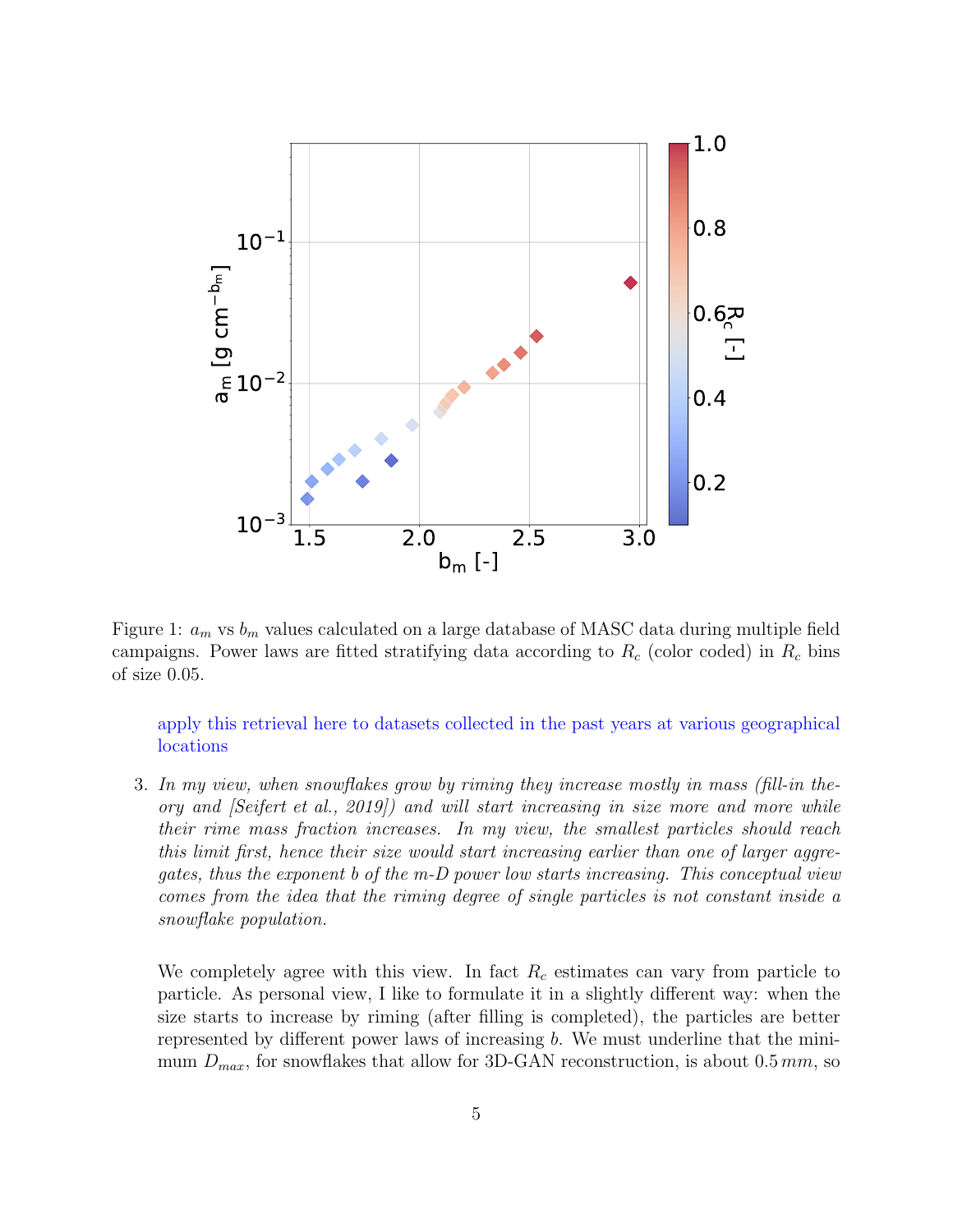

Figure 1:  $a_m$  vs  $b_m$  values calculated on a large database of MASC data during multiple field campaigns. Power laws are fitted stratifying data according to  $R_c$  (color coded) in  $R_c$  bins of size 0.05.

apply this retrieval here to datasets collected in the past years at various geographical locations

3. In my view, when snowflakes grow by riming they increase mostly in mass (fill-in theory and [Seifert et al., 2019]) and will start increasing in size more and more while their rime mass fraction increases. In my view, the smallest particles should reach this limit first, hence their size would start increasing earlier than one of larger aggregates, thus the exponent b of the m-D power low starts increasing. This conceptual view comes from the idea that the riming degree of single particles is not constant inside a snowflake population.

We completely agree with this view. In fact  $R_c$  estimates can vary from particle to particle. As personal view, I like to formulate it in a slightly different way: when the size starts to increase by riming (after filling is completed), the particles are better represented by different power laws of increasing b. We must underline that the minimum  $D_{max}$ , for snowflakes that allow for 3D-GAN reconstruction, is about 0.5 mm, so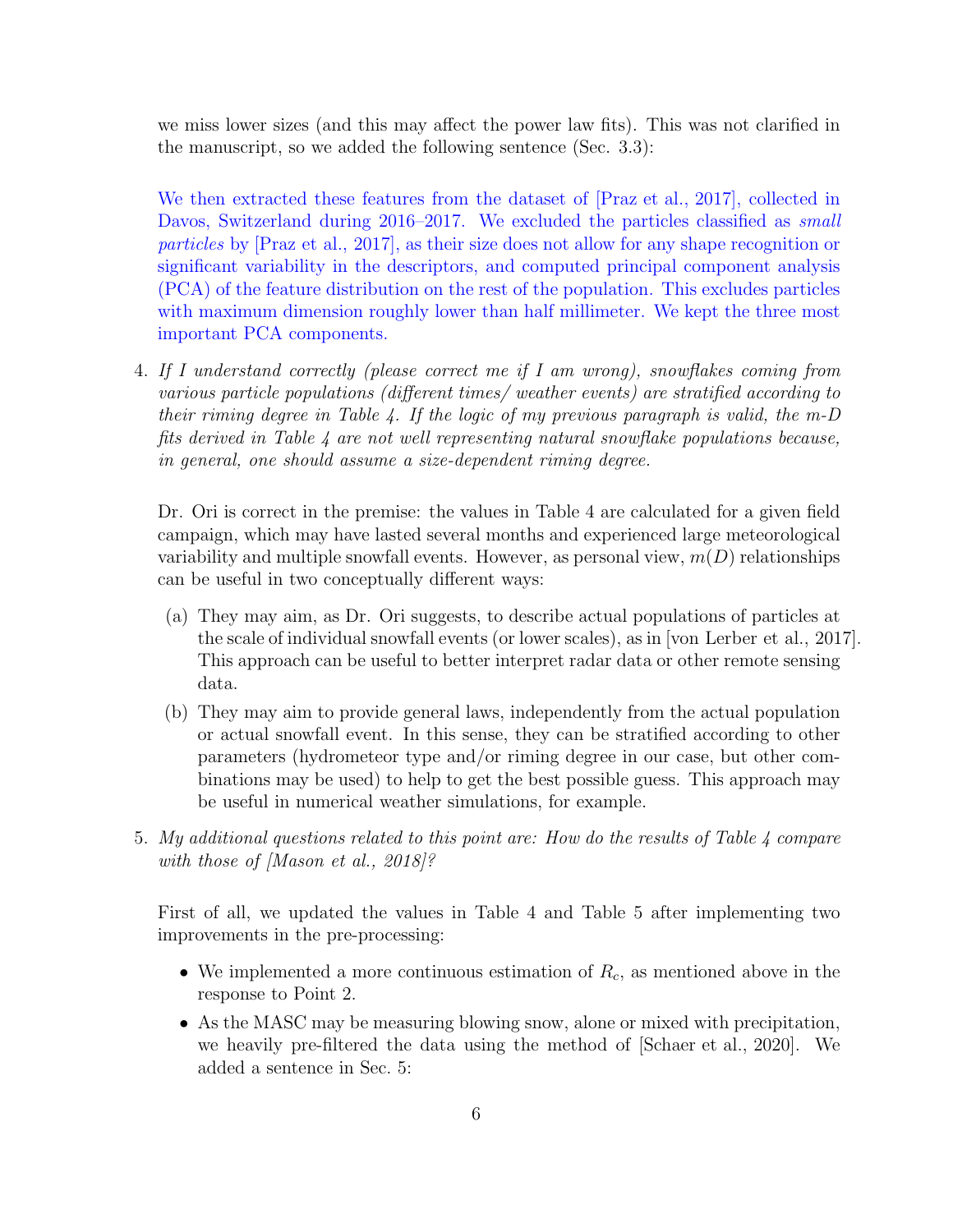we miss lower sizes (and this may affect the power law fits). This was not clarified in the manuscript, so we added the following sentence (Sec. 3.3):

We then extracted these features from the dataset of [Praz et al., 2017], collected in Davos, Switzerland during 2016–2017. We excluded the particles classified as small particles by [Praz et al., 2017], as their size does not allow for any shape recognition or significant variability in the descriptors, and computed principal component analysis (PCA) of the feature distribution on the rest of the population. This excludes particles with maximum dimension roughly lower than half millimeter. We kept the three most important PCA components.

4. If I understand correctly (please correct me if I am wrong), snowflakes coming from various particle populations (different times/ weather events) are stratified according to their riming degree in Table 4. If the logic of my previous paragraph is valid, the m-D fits derived in Table 4 are not well representing natural snowflake populations because, in general, one should assume a size-dependent riming degree.

Dr. Ori is correct in the premise: the values in Table 4 are calculated for a given field campaign, which may have lasted several months and experienced large meteorological variability and multiple snowfall events. However, as personal view,  $m(D)$  relationships can be useful in two conceptually different ways:

- (a) They may aim, as Dr. Ori suggests, to describe actual populations of particles at the scale of individual snowfall events (or lower scales), as in [von Lerber et al., 2017]. This approach can be useful to better interpret radar data or other remote sensing data.
- (b) They may aim to provide general laws, independently from the actual population or actual snowfall event. In this sense, they can be stratified according to other parameters (hydrometeor type and/or riming degree in our case, but other combinations may be used) to help to get the best possible guess. This approach may be useful in numerical weather simulations, for example.
- 5. My additional questions related to this point are: How do the results of Table 4 compare with those of [Mason et al., 2018]?

First of all, we updated the values in Table 4 and Table 5 after implementing two improvements in the pre-processing:

- We implemented a more continuous estimation of  $R_c$ , as mentioned above in the response to Point 2.
- As the MASC may be measuring blowing snow, alone or mixed with precipitation, we heavily pre-filtered the data using the method of [Schaer et al., 2020]. We added a sentence in Sec. 5: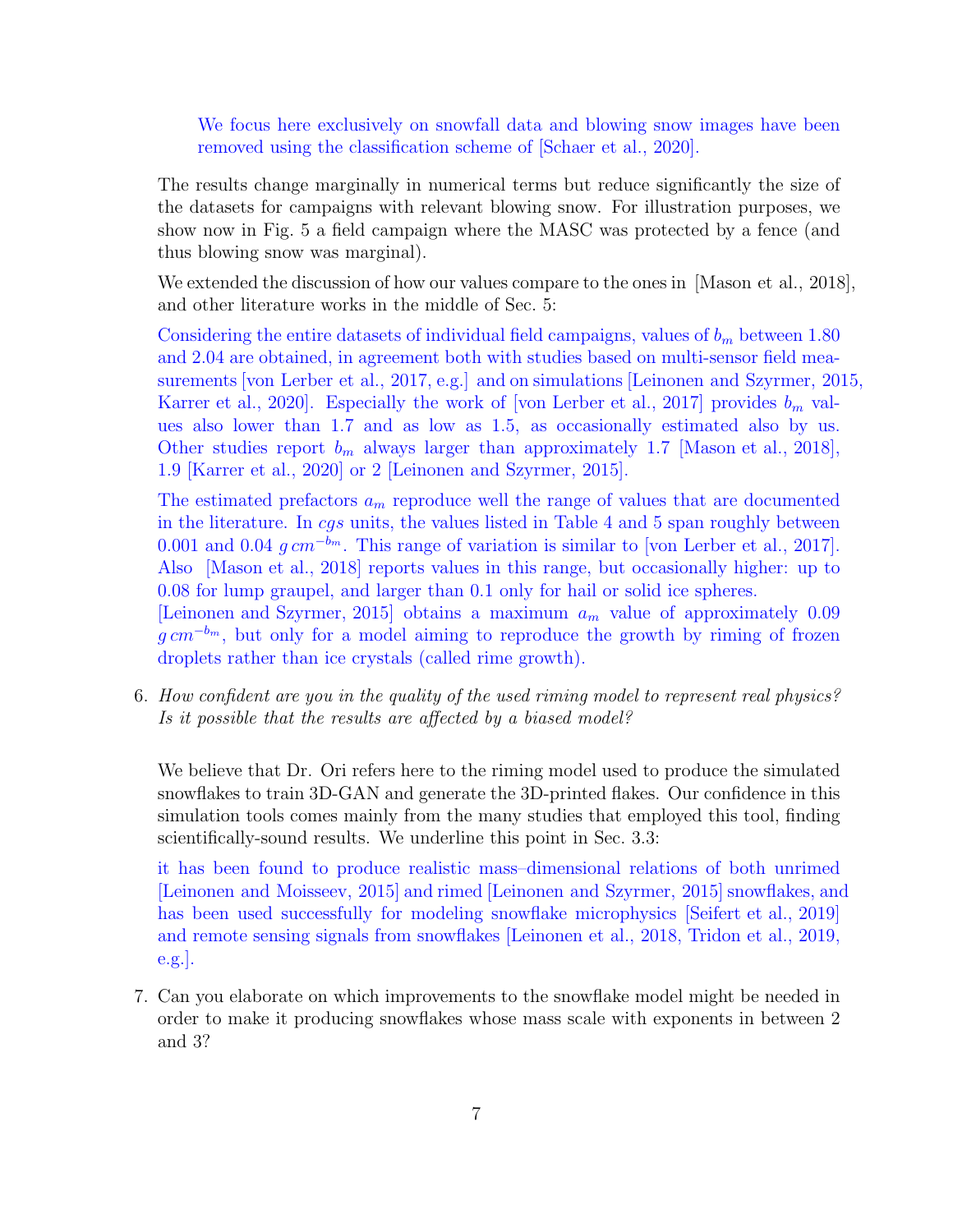We focus here exclusively on snowfall data and blowing snow images have been removed using the classification scheme of [Schaer et al., 2020].

The results change marginally in numerical terms but reduce significantly the size of the datasets for campaigns with relevant blowing snow. For illustration purposes, we show now in Fig. 5 a field campaign where the MASC was protected by a fence (and thus blowing snow was marginal).

We extended the discussion of how our values compare to the ones in [Mason et al., 2018], and other literature works in the middle of Sec. 5:

Considering the entire datasets of individual field campaigns, values of  $b<sub>m</sub>$  between 1.80 and 2.04 are obtained, in agreement both with studies based on multi-sensor field measurements [von Lerber et al., 2017, e.g.] and on simulations [Leinonen and Szyrmer, 2015, Karrer et al., 2020]. Especially the work of [von Lerber et al., 2017] provides  $b_m$  values also lower than 1.7 and as low as 1.5, as occasionally estimated also by us. Other studies report  $b_m$  always larger than approximately 1.7 [Mason et al., 2018], 1.9 [Karrer et al., 2020] or 2 [Leinonen and Szyrmer, 2015].

The estimated prefactors  $a_m$  reproduce well the range of values that are documented in the literature. In cgs units, the values listed in Table 4 and 5 span roughly between 0.001 and 0.04  $g \, \text{cm}^{-b_m}$ . This range of variation is similar to [von Lerber et al., 2017]. Also [Mason et al., 2018] reports values in this range, but occasionally higher: up to 0.08 for lump graupel, and larger than 0.1 only for hail or solid ice spheres.

[Leinonen and Szyrmer, 2015] obtains a maximum  $a_m$  value of approximately 0.09  $g \, \text{cm}^{-b_m}$ , but only for a model aiming to reproduce the growth by riming of frozen droplets rather than ice crystals (called rime growth).

6. How confident are you in the quality of the used riming model to represent real physics? Is it possible that the results are affected by a biased model?

We believe that Dr. Ori refers here to the riming model used to produce the simulated snowflakes to train 3D-GAN and generate the 3D-printed flakes. Our confidence in this simulation tools comes mainly from the many studies that employed this tool, finding scientifically-sound results. We underline this point in Sec. 3.3:

it has been found to produce realistic mass–dimensional relations of both unrimed [Leinonen and Moisseev, 2015] and rimed [Leinonen and Szyrmer, 2015] snowflakes, and has been used successfully for modeling snowflake microphysics [Seifert et al., 2019] and remote sensing signals from snowflakes [Leinonen et al., 2018, Tridon et al., 2019, e.g.].

7. Can you elaborate on which improvements to the snowflake model might be needed in order to make it producing snowflakes whose mass scale with exponents in between 2 and 3?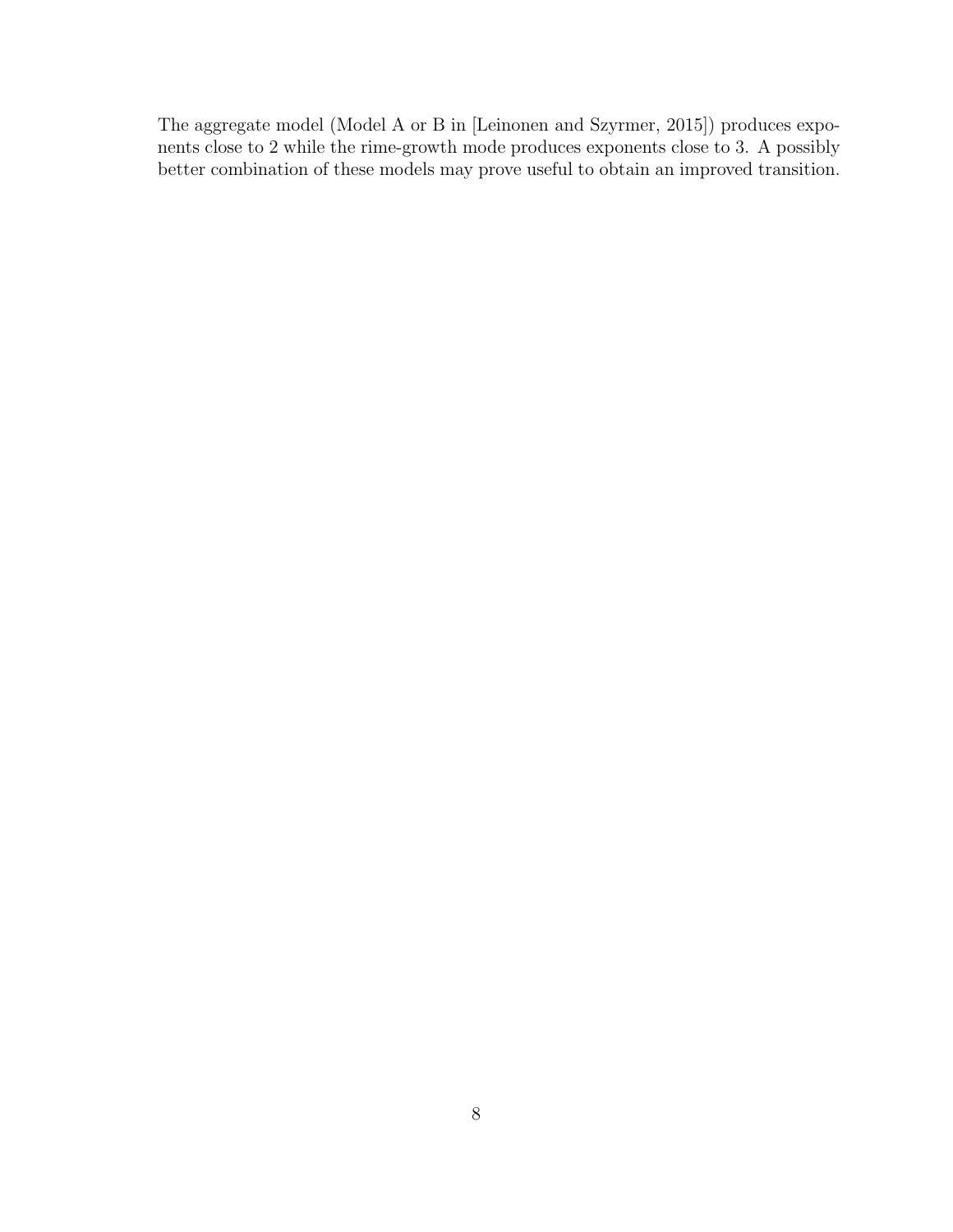The aggregate model (Model A or B in [Leinonen and Szyrmer, 2015]) produces exponents close to 2 while the rime-growth mode produces exponents close to 3. A possibly better combination of these models may prove useful to obtain an improved transition.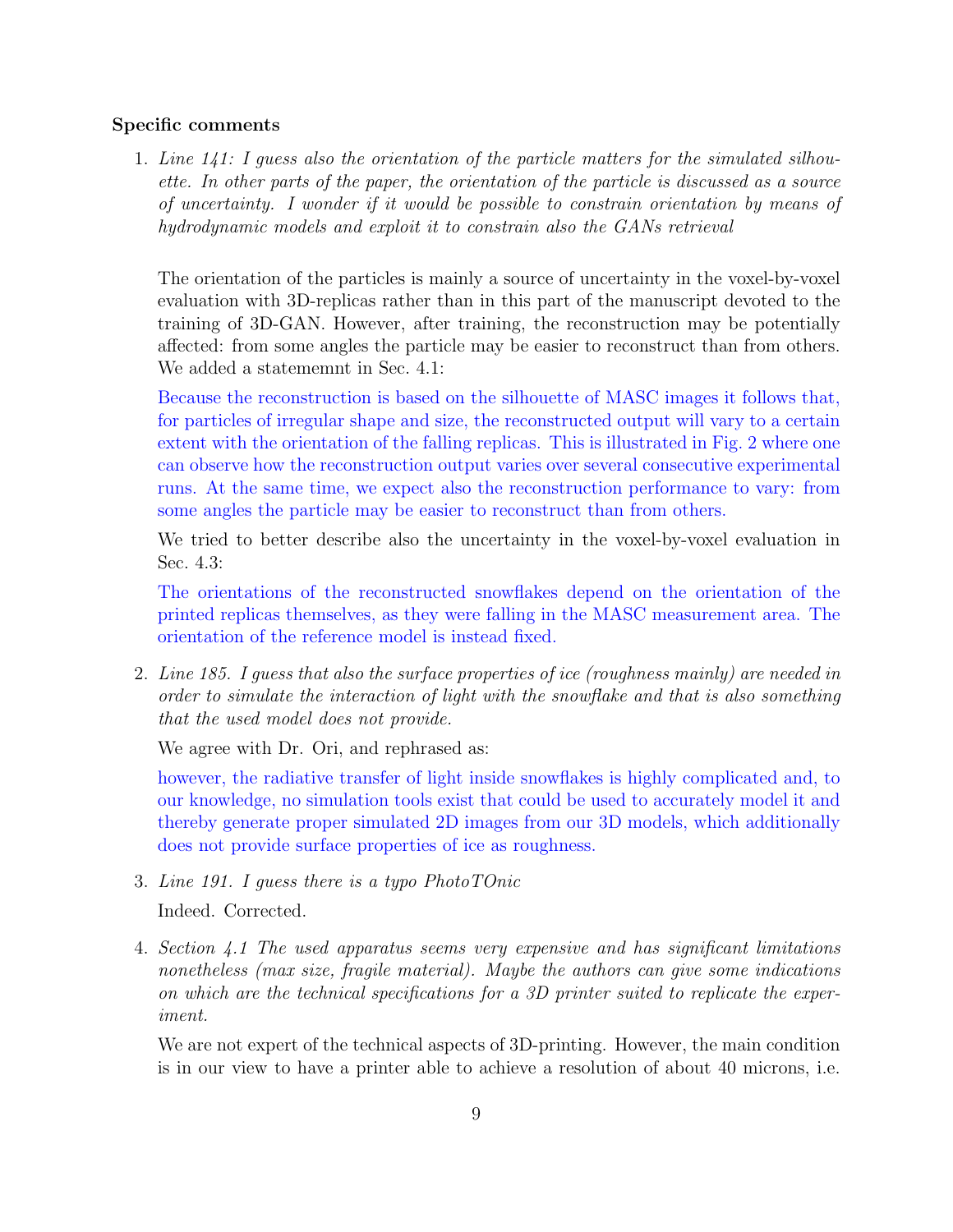#### Specific comments

1. Line 141: I guess also the orientation of the particle matters for the simulated silhouette. In other parts of the paper, the orientation of the particle is discussed as a source of uncertainty. I wonder if it would be possible to constrain orientation by means of hydrodynamic models and exploit it to constrain also the GANs retrieval

The orientation of the particles is mainly a source of uncertainty in the voxel-by-voxel evaluation with 3D-replicas rather than in this part of the manuscript devoted to the training of 3D-GAN. However, after training, the reconstruction may be potentially affected: from some angles the particle may be easier to reconstruct than from others. We added a statememnt in Sec. 4.1:

Because the reconstruction is based on the silhouette of MASC images it follows that, for particles of irregular shape and size, the reconstructed output will vary to a certain extent with the orientation of the falling replicas. This is illustrated in Fig. 2 where one can observe how the reconstruction output varies over several consecutive experimental runs. At the same time, we expect also the reconstruction performance to vary: from some angles the particle may be easier to reconstruct than from others.

We tried to better describe also the uncertainty in the voxel-by-voxel evaluation in Sec. 4.3:

The orientations of the reconstructed snowflakes depend on the orientation of the printed replicas themselves, as they were falling in the MASC measurement area. The orientation of the reference model is instead fixed.

2. Line 185. I guess that also the surface properties of ice (roughness mainly) are needed in order to simulate the interaction of light with the snowflake and that is also something that the used model does not provide.

We agree with Dr. Ori, and rephrased as:

however, the radiative transfer of light inside snowflakes is highly complicated and, to our knowledge, no simulation tools exist that could be used to accurately model it and thereby generate proper simulated 2D images from our 3D models, which additionally does not provide surface properties of ice as roughness.

- 3. Line 191. I guess there is a typo PhotoTOnic Indeed. Corrected.
- 4. Section 4.1 The used apparatus seems very expensive and has significant limitations nonetheless (max size, fragile material). Maybe the authors can give some indications on which are the technical specifications for a 3D printer suited to replicate the experiment.

We are not expert of the technical aspects of 3D-printing. However, the main condition is in our view to have a printer able to achieve a resolution of about 40 microns, i.e.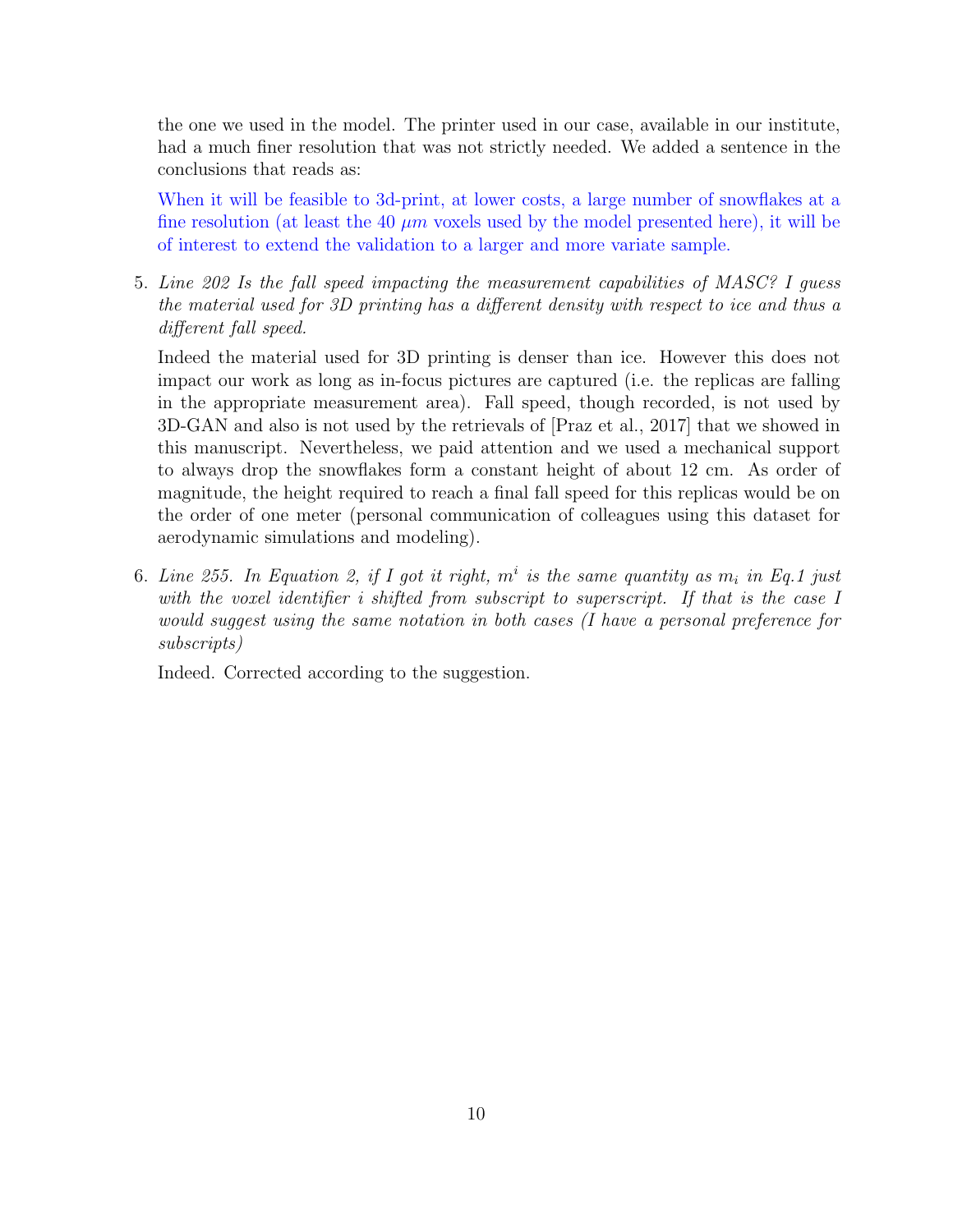the one we used in the model. The printer used in our case, available in our institute, had a much finer resolution that was not strictly needed. We added a sentence in the conclusions that reads as:

When it will be feasible to 3d-print, at lower costs, a large number of snowflakes at a fine resolution (at least the 40  $\mu$ m voxels used by the model presented here), it will be of interest to extend the validation to a larger and more variate sample.

5. Line 202 Is the fall speed impacting the measurement capabilities of MASC? I guess the material used for 3D printing has a different density with respect to ice and thus a different fall speed.

Indeed the material used for 3D printing is denser than ice. However this does not impact our work as long as in-focus pictures are captured (i.e. the replicas are falling in the appropriate measurement area). Fall speed, though recorded, is not used by 3D-GAN and also is not used by the retrievals of [Praz et al., 2017] that we showed in this manuscript. Nevertheless, we paid attention and we used a mechanical support to always drop the snowflakes form a constant height of about 12 cm. As order of magnitude, the height required to reach a final fall speed for this replicas would be on the order of one meter (personal communication of colleagues using this dataset for aerodynamic simulations and modeling).

6. Line 255. In Equation 2, if I got it right,  $m^i$  is the same quantity as  $m_i$  in Eq.1 just with the voxel identifier i shifted from subscript to superscript. If that is the case I would suggest using the same notation in both cases (I have a personal preference for subscripts)

Indeed. Corrected according to the suggestion.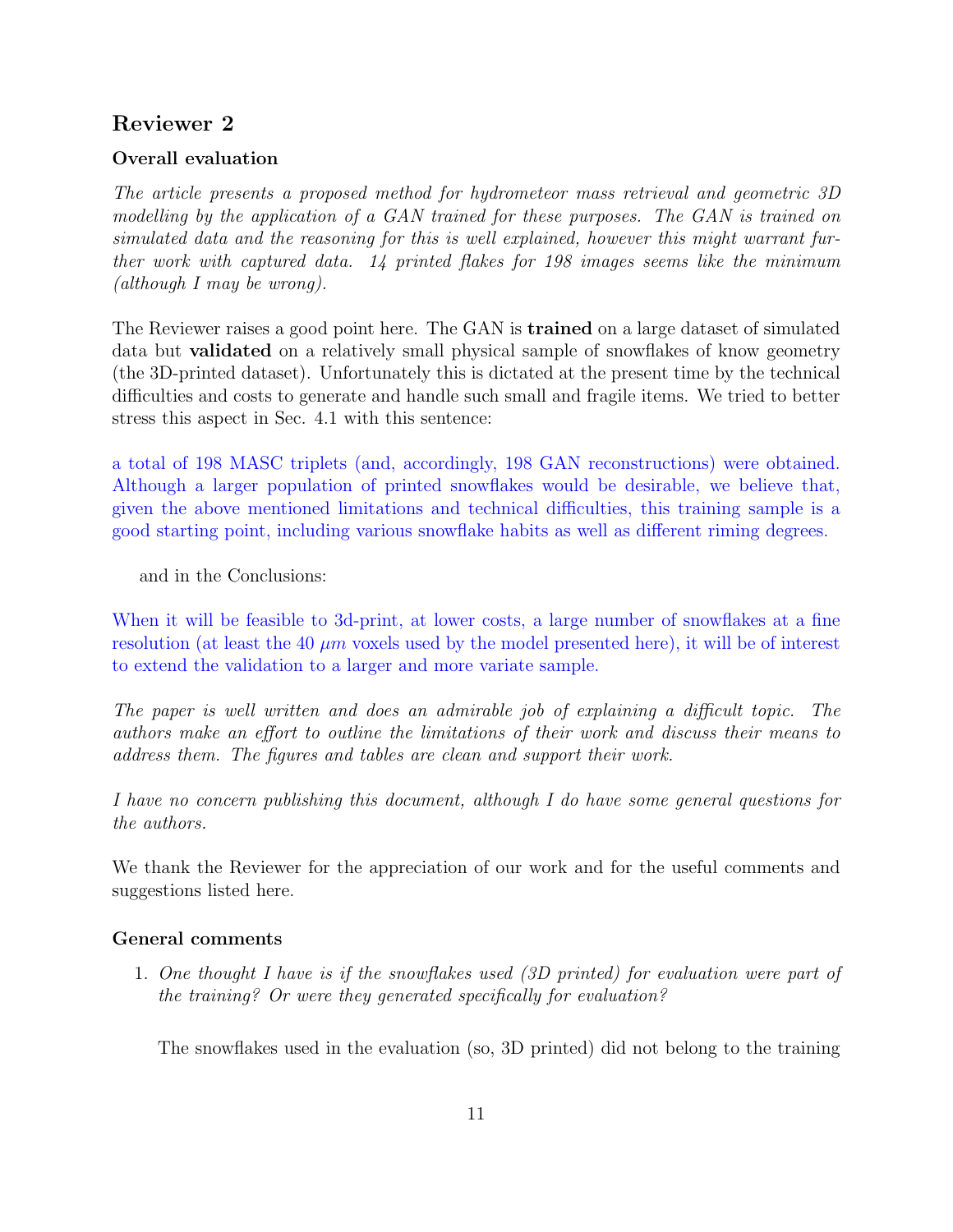# Reviewer 2

### Overall evaluation

The article presents a proposed method for hydrometeor mass retrieval and geometric 3D modelling by the application of a GAN trained for these purposes. The GAN is trained on simulated data and the reasoning for this is well explained, however this might warrant further work with captured data. 14 printed flakes for 198 images seems like the minimum (although I may be wrong).

The Reviewer raises a good point here. The GAN is trained on a large dataset of simulated data but validated on a relatively small physical sample of snowflakes of know geometry (the 3D-printed dataset). Unfortunately this is dictated at the present time by the technical difficulties and costs to generate and handle such small and fragile items. We tried to better stress this aspect in Sec. 4.1 with this sentence:

a total of 198 MASC triplets (and, accordingly, 198 GAN reconstructions) were obtained. Although a larger population of printed snowflakes would be desirable, we believe that, given the above mentioned limitations and technical difficulties, this training sample is a good starting point, including various snowflake habits as well as different riming degrees.

and in the Conclusions:

When it will be feasible to 3d-print, at lower costs, a large number of snowflakes at a fine resolution (at least the 40  $\mu$ m voxels used by the model presented here), it will be of interest to extend the validation to a larger and more variate sample.

The paper is well written and does an admirable job of explaining a difficult topic. The authors make an effort to outline the limitations of their work and discuss their means to address them. The figures and tables are clean and support their work.

I have no concern publishing this document, although I do have some general questions for the authors.

We thank the Reviewer for the appreciation of our work and for the useful comments and suggestions listed here.

### General comments

1. One thought I have is if the snowflakes used (3D printed) for evaluation were part of the training? Or were they generated specifically for evaluation?

The snowflakes used in the evaluation (so, 3D printed) did not belong to the training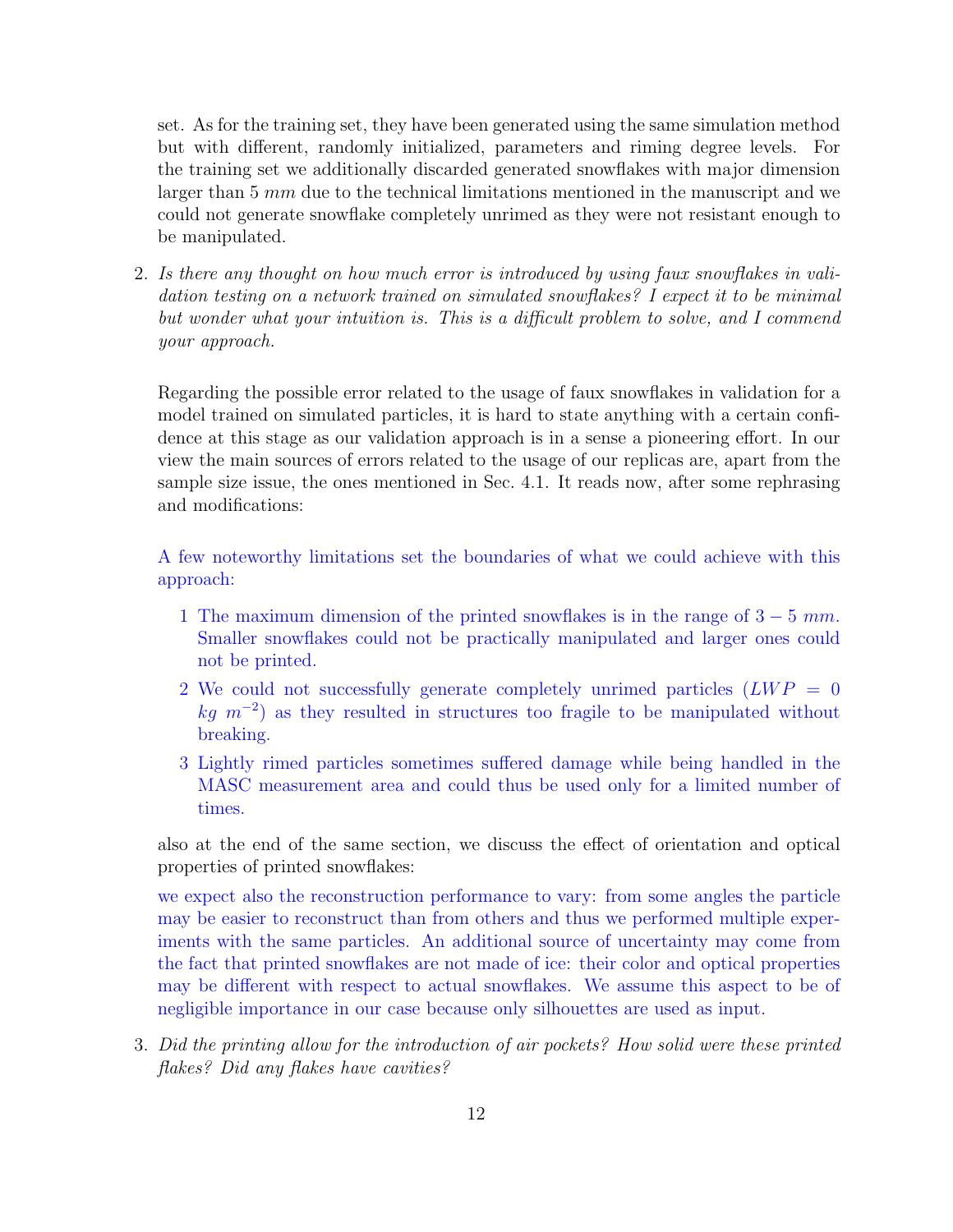set. As for the training set, they have been generated using the same simulation method but with different, randomly initialized, parameters and riming degree levels. For the training set we additionally discarded generated snowflakes with major dimension larger than 5 mm due to the technical limitations mentioned in the manuscript and we could not generate snowflake completely unrimed as they were not resistant enough to be manipulated.

2. Is there any thought on how much error is introduced by using faux snowflakes in validation testing on a network trained on simulated snowflakes? I expect it to be minimal but wonder what your intuition is. This is a difficult problem to solve, and I commend your approach.

Regarding the possible error related to the usage of faux snowflakes in validation for a model trained on simulated particles, it is hard to state anything with a certain confidence at this stage as our validation approach is in a sense a pioneering effort. In our view the main sources of errors related to the usage of our replicas are, apart from the sample size issue, the ones mentioned in Sec. 4.1. It reads now, after some rephrasing and modifications:

A few noteworthy limitations set the boundaries of what we could achieve with this approach:

- 1 The maximum dimension of the printed snowflakes is in the range of  $3-5$  mm. Smaller snowflakes could not be practically manipulated and larger ones could not be printed.
- 2 We could not successfully generate completely unrimed particles  $(LWP = 0$  $kg$  m<sup>-2</sup>) as they resulted in structures too fragile to be manipulated without breaking.
- 3 Lightly rimed particles sometimes suffered damage while being handled in the MASC measurement area and could thus be used only for a limited number of times.

also at the end of the same section, we discuss the effect of orientation and optical properties of printed snowflakes:

we expect also the reconstruction performance to vary: from some angles the particle may be easier to reconstruct than from others and thus we performed multiple experiments with the same particles. An additional source of uncertainty may come from the fact that printed snowflakes are not made of ice: their color and optical properties may be different with respect to actual snowflakes. We assume this aspect to be of negligible importance in our case because only silhouettes are used as input.

3. Did the printing allow for the introduction of air pockets? How solid were these printed flakes? Did any flakes have cavities?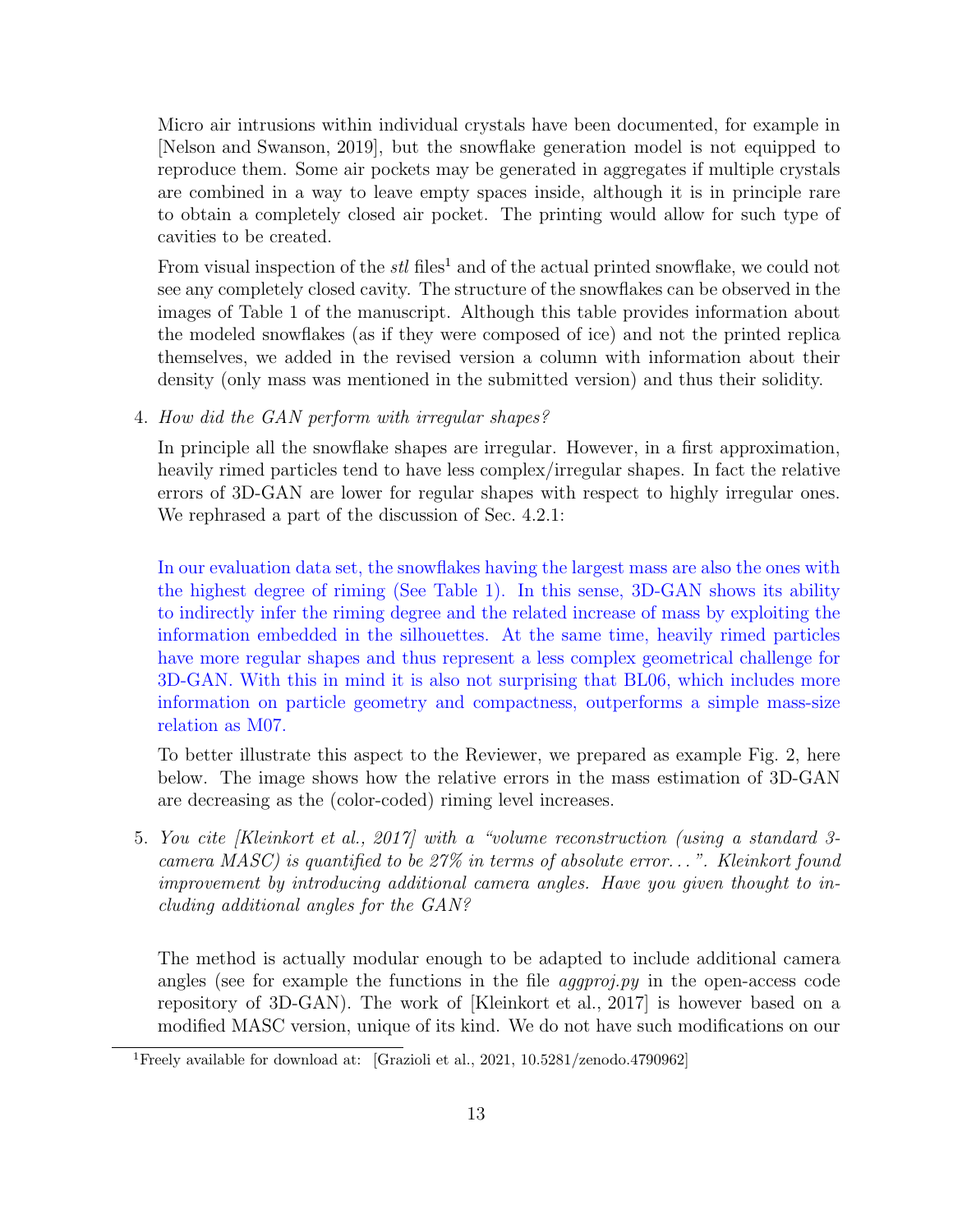Micro air intrusions within individual crystals have been documented, for example in [Nelson and Swanson, 2019], but the snowflake generation model is not equipped to reproduce them. Some air pockets may be generated in aggregates if multiple crystals are combined in a way to leave empty spaces inside, although it is in principle rare to obtain a completely closed air pocket. The printing would allow for such type of cavities to be created.

From visual inspection of the *stl* files<sup>1</sup> and of the actual printed snowflake, we could not see any completely closed cavity. The structure of the snowflakes can be observed in the images of Table 1 of the manuscript. Although this table provides information about the modeled snowflakes (as if they were composed of ice) and not the printed replica themselves, we added in the revised version a column with information about their density (only mass was mentioned in the submitted version) and thus their solidity.

#### 4. How did the GAN perform with irregular shapes?

In principle all the snowflake shapes are irregular. However, in a first approximation, heavily rimed particles tend to have less complex/irregular shapes. In fact the relative errors of 3D-GAN are lower for regular shapes with respect to highly irregular ones. We rephrased a part of the discussion of Sec. 4.2.1:

In our evaluation data set, the snowflakes having the largest mass are also the ones with the highest degree of riming (See Table 1). In this sense, 3D-GAN shows its ability to indirectly infer the riming degree and the related increase of mass by exploiting the information embedded in the silhouettes. At the same time, heavily rimed particles have more regular shapes and thus represent a less complex geometrical challenge for 3D-GAN. With this in mind it is also not surprising that BL06, which includes more information on particle geometry and compactness, outperforms a simple mass-size relation as M07.

To better illustrate this aspect to the Reviewer, we prepared as example Fig. 2, here below. The image shows how the relative errors in the mass estimation of 3D-GAN are decreasing as the (color-coded) riming level increases.

5. You cite [Kleinkort et al., 2017] with a "volume reconstruction (using a standard 3 camera MASC) is quantified to be  $27\%$  in terms of absolute error...". Kleinkort found improvement by introducing additional camera angles. Have you given thought to including additional angles for the GAN?

The method is actually modular enough to be adapted to include additional camera angles (see for example the functions in the file  $\alpha$ *ggproj.py* in the open-access code repository of 3D-GAN). The work of [Kleinkort et al., 2017] is however based on a modified MASC version, unique of its kind. We do not have such modifications on our

<sup>&</sup>lt;sup>1</sup>Freely available for download at: [Grazioli et al., 2021, 10.5281/zenodo.4790962]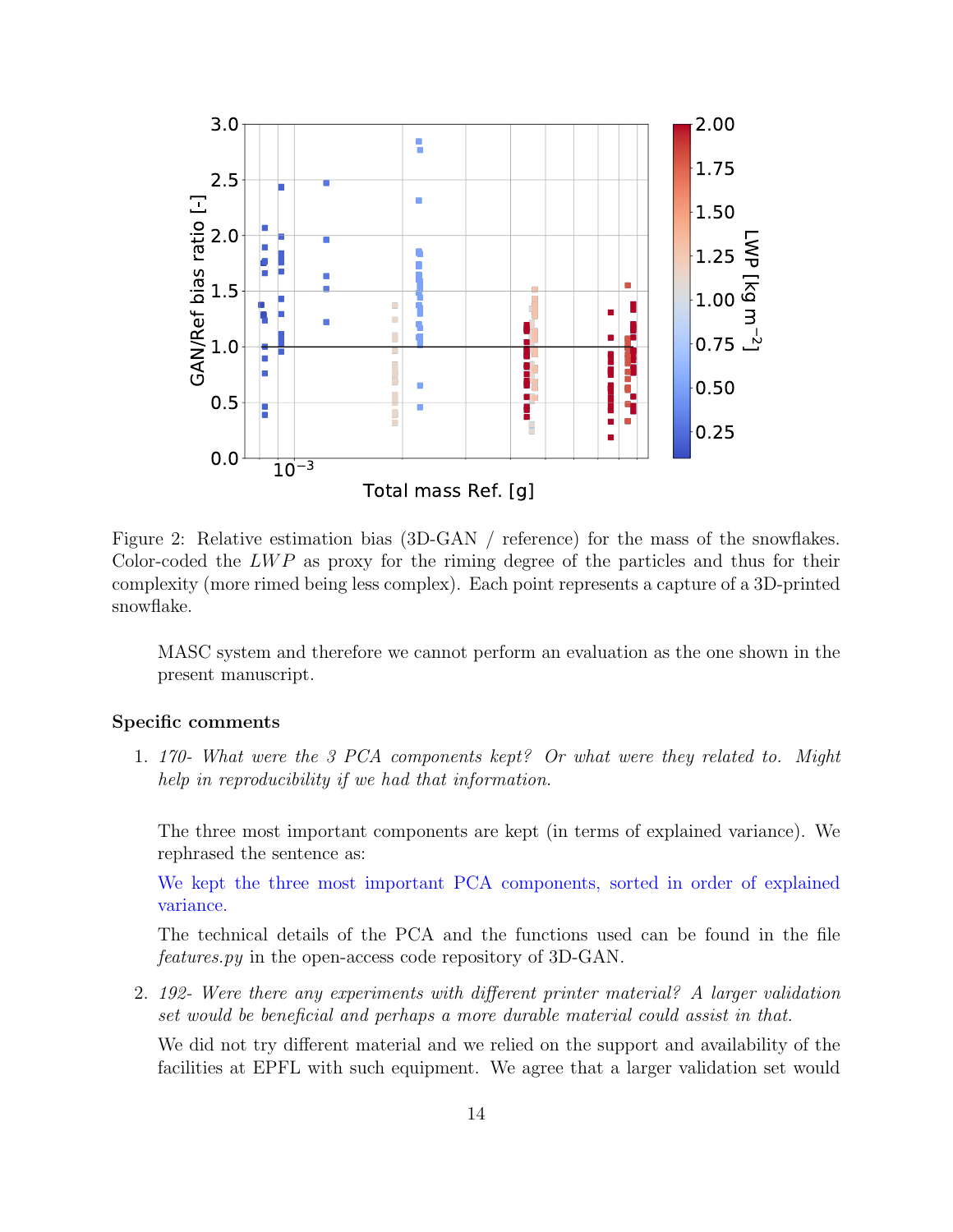

Figure 2: Relative estimation bias (3D-GAN / reference) for the mass of the snowflakes. Color-coded the  $LWP$  as proxy for the riming degree of the particles and thus for their complexity (more rimed being less complex). Each point represents a capture of a 3D-printed snowflake.

MASC system and therefore we cannot perform an evaluation as the one shown in the present manuscript.

#### Specific comments

1. 170- What were the 3 PCA components kept? Or what were they related to. Might help in reproducibility if we had that information.

The three most important components are kept (in terms of explained variance). We rephrased the sentence as:

We kept the three most important PCA components, sorted in order of explained variance.

The technical details of the PCA and the functions used can be found in the file features.py in the open-access code repository of 3D-GAN.

2. 192- Were there any experiments with different printer material? A larger validation set would be beneficial and perhaps a more durable material could assist in that.

We did not try different material and we relied on the support and availability of the facilities at EPFL with such equipment. We agree that a larger validation set would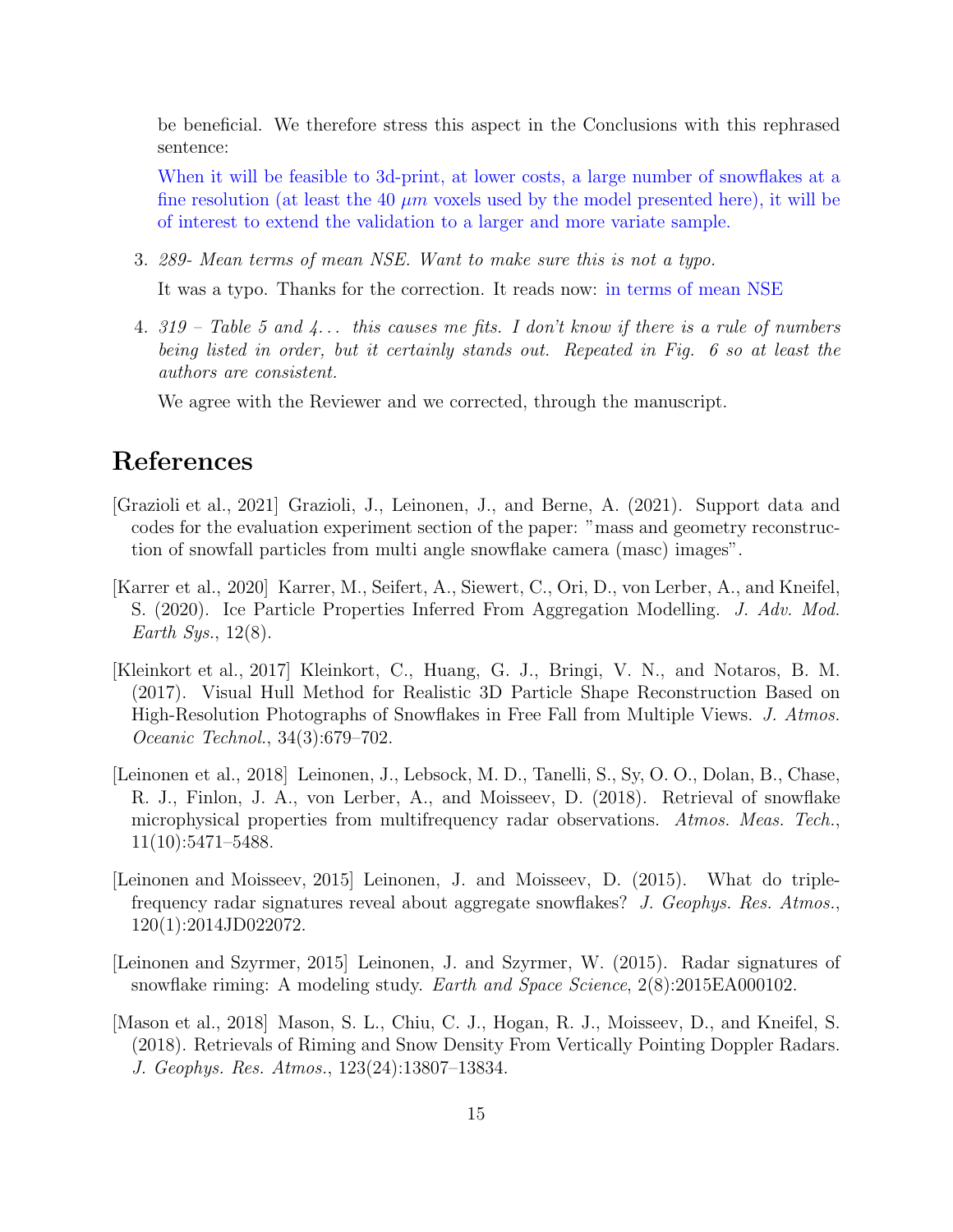be beneficial. We therefore stress this aspect in the Conclusions with this rephrased sentence:

When it will be feasible to 3d-print, at lower costs, a large number of snowflakes at a fine resolution (at least the 40  $\mu$ m voxels used by the model presented here), it will be of interest to extend the validation to a larger and more variate sample.

3. 289- Mean terms of mean NSE. Want to make sure this is not a typo.

It was a typo. Thanks for the correction. It reads now: in terms of mean NSE

4. 319 – Table 5 and 4... this causes me fits. I don't know if there is a rule of numbers being listed in order, but it certainly stands out. Repeated in Fig. 6 so at least the authors are consistent.

We agree with the Reviewer and we corrected, through the manuscript.

# References

- [Grazioli et al., 2021] Grazioli, J., Leinonen, J., and Berne, A. (2021). Support data and codes for the evaluation experiment section of the paper: "mass and geometry reconstruction of snowfall particles from multi angle snowflake camera (masc) images".
- [Karrer et al., 2020] Karrer, M., Seifert, A., Siewert, C., Ori, D., von Lerber, A., and Kneifel, S. (2020). Ice Particle Properties Inferred From Aggregation Modelling. J. Adv. Mod. Earth Sys., 12(8).
- [Kleinkort et al., 2017] Kleinkort, C., Huang, G. J., Bringi, V. N., and Notaros, B. M. (2017). Visual Hull Method for Realistic 3D Particle Shape Reconstruction Based on High-Resolution Photographs of Snowflakes in Free Fall from Multiple Views. J. Atmos. Oceanic Technol., 34(3):679–702.
- [Leinonen et al., 2018] Leinonen, J., Lebsock, M. D., Tanelli, S., Sy, O. O., Dolan, B., Chase, R. J., Finlon, J. A., von Lerber, A., and Moisseev, D. (2018). Retrieval of snowflake microphysical properties from multifrequency radar observations. Atmos. Meas. Tech., 11(10):5471–5488.
- [Leinonen and Moisseev, 2015] Leinonen, J. and Moisseev, D. (2015). What do triplefrequency radar signatures reveal about aggregate snowflakes? J. Geophys. Res. Atmos., 120(1):2014JD022072.
- [Leinonen and Szyrmer, 2015] Leinonen, J. and Szyrmer, W. (2015). Radar signatures of snowflake riming: A modeling study. Earth and Space Science, 2(8):2015EA000102.
- [Mason et al., 2018] Mason, S. L., Chiu, C. J., Hogan, R. J., Moisseev, D., and Kneifel, S. (2018). Retrievals of Riming and Snow Density From Vertically Pointing Doppler Radars. J. Geophys. Res. Atmos., 123(24):13807–13834.